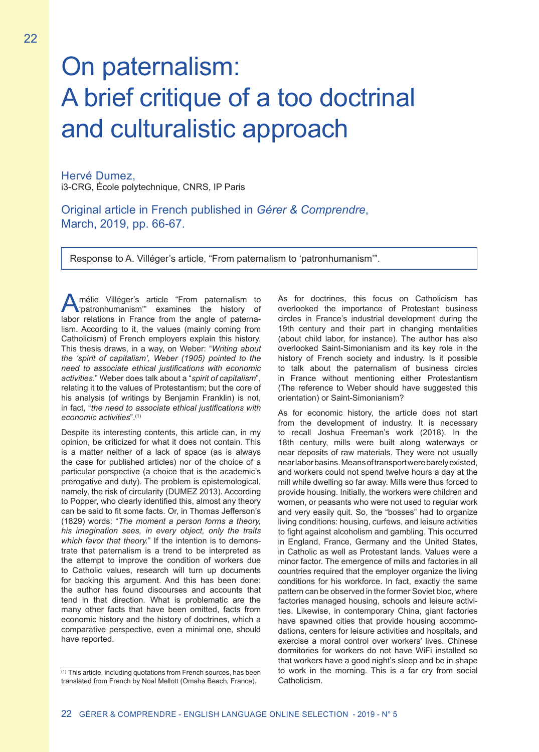## On paternalism: A brief critique of a too doctrinal and culturalistic approach

Hervé Dumez, i3-CRG, École polytechnique, CNRS, IP Paris

Original article in French published in *Gérer & Comprendre*, March, 2019, pp. 66-67.

Response to A. Villéger's article, "From paternalism to 'patronhumanism'".

mélie Villéger's article "From paternalism to 'patronhumanism'" examines the history of labor relations in France from the angle of paternalism. According to it, the values (mainly coming from Catholicism) of French employers explain this history. This thesis draws, in a way, on Weber: "*Writing about the 'spirit of capitalism', Weber (1905) pointed to the need to associate ethical justifications with economic activities.*" Weber does talk about a "*spirit of capitalism*", relating it to the values of Protestantism; but the core of his analysis (of writings by Benjamin Franklin) is not, in fact, "*the need to associate ethical justifications with economic activities*".(1)

Despite its interesting contents, this article can, in my opinion, be criticized for what it does not contain. This is a matter neither of a lack of space (as is always the case for published articles) nor of the choice of a particular perspective (a choice that is the academic's prerogative and duty). The problem is epistemological, namely, the risk of circularity (DUMEZ 2013). According to Popper, who clearly identified this, almost any theory can be said to fit some facts. Or, in Thomas Jefferson's (1829) words: "*The moment a person forms a theory, his imagination sees, in every object, only the traits which favor that theory.*" If the intention is to demonstrate that paternalism is a trend to be interpreted as the attempt to improve the condition of workers due to Catholic values, research will turn up documents for backing this argument. And this has been done: the author has found discourses and accounts that tend in that direction. What is problematic are the many other facts that have been omitted, facts from economic history and the history of doctrines, which a comparative perspective, even a minimal one, should have reported.

As for doctrines, this focus on Catholicism has overlooked the importance of Protestant business circles in France's industrial development during the 19th century and their part in changing mentalities (about child labor, for instance). The author has also overlooked Saint-Simonianism and its key role in the history of French society and industry. Is it possible to talk about the paternalism of business circles in France without mentioning either Protestantism (The reference to Weber should have suggested this orientation) or Saint-Simonianism?

As for economic history, the article does not start from the development of industry. It is necessary to recall Joshua Freeman's work (2018). In the 18th century, mills were built along waterways or near deposits of raw materials. They were not usually near labor basins. Means of transport were barely existed, and workers could not spend twelve hours a day at the mill while dwelling so far away. Mills were thus forced to provide housing. Initially, the workers were children and women, or peasants who were not used to regular work and very easily quit. So, the "bosses" had to organize living conditions: housing, curfews, and leisure activities to fight against alcoholism and gambling. This occurred in England, France, Germany and the United States, in Catholic as well as Protestant lands. Values were a minor factor. The emergence of mills and factories in all countries required that the employer organize the living conditions for his workforce. In fact, exactly the same pattern can be observed in the former Soviet bloc, where factories managed housing, schools and leisure activities. Likewise, in contemporary China, giant factories have spawned cities that provide housing accommodations, centers for leisure activities and hospitals, and exercise a moral control over workers' lives. Chinese dormitories for workers do not have WiFi installed so that workers have a good night's sleep and be in shape to work in the morning. This is a far cry from social Catholicism.

<sup>(1)</sup> This article, including quotations from French sources, has been translated from French by Noal Mellott (Omaha Beach, France).